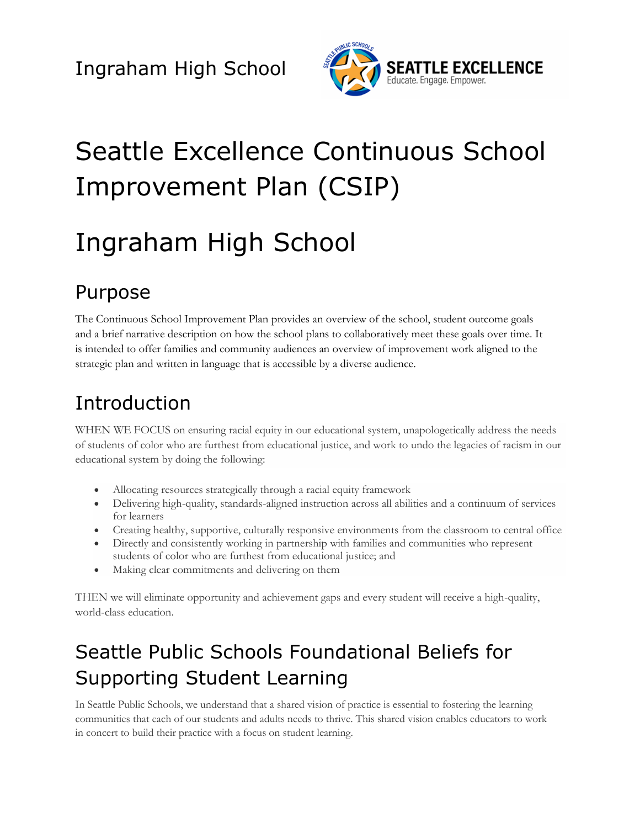

# Seattle Excellence Continuous School Improvement Plan (CSIP)

# Ingraham High School

## Purpose

The Continuous School Improvement Plan provides an overview of the school, student outcome goals and a brief narrative description on how the school plans to collaboratively meet these goals over time. It is intended to offer families and community audiences an overview of improvement work aligned to the strategic plan and written in language that is accessible by a diverse audience.

# Introduction

WHEN WE FOCUS on ensuring racial equity in our educational system, unapologetically address the needs of students of color who are furthest from educational justice, and work to undo the legacies of racism in our educational system by doing the following:

- Allocating resources strategically through a racial equity framework
- Delivering high-quality, standards-aligned instruction across all abilities and a continuum of services for learners
- Creating healthy, supportive, culturally responsive environments from the classroom to central office
- Directly and consistently working in partnership with families and communities who represent students of color who are furthest from educational justice; and
- Making clear commitments and delivering on them

THEN we will eliminate opportunity and achievement gaps and every student will receive a high-quality, world-class education.

# Seattle Public Schools Foundational Beliefs for Supporting Student Learning

In Seattle Public Schools, we understand that a shared vision of practice is essential to fostering the learning communities that each of our students and adults needs to thrive. This shared vision enables educators to work in concert to build their practice with a focus on student learning.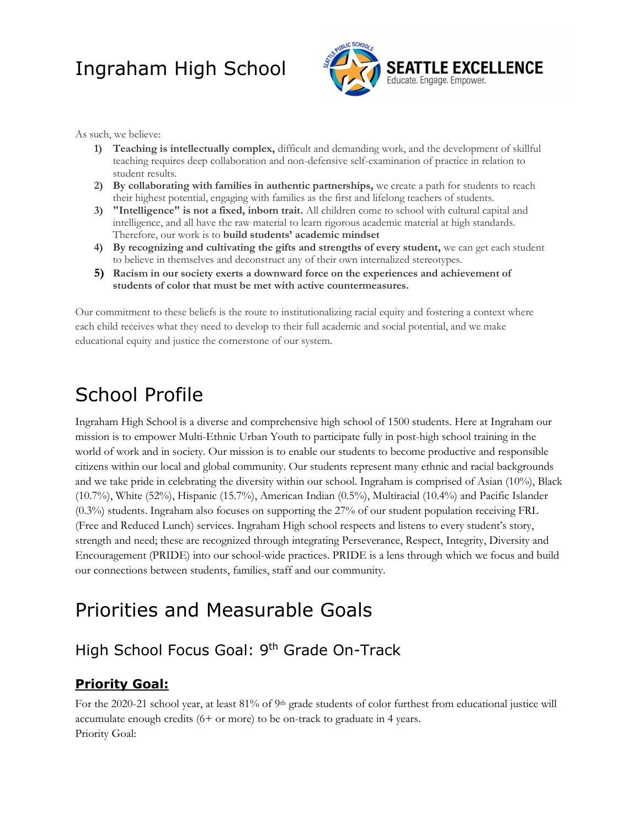

As such, we believe:

- **1) Teaching is intellectually complex,** difficult and demanding work, and the development of skillful teaching requires deep collaboration and non-defensive self-examination of practice in relation to student results.
- **2) By collaborating with families in authentic partnerships,** we create a path for students to reach their highest potential, engaging with families as the first and lifelong teachers of students.
- **3) "Intelligence" is not a fixed, inborn trait.** All children come to school with cultural capital and intelligence, and all have the raw material to learn rigorous academic material at high standards. Therefore, our work is to **build students' academic mindset**
- **4) By recognizing and cultivating the gifts and strengths of every student,** we can get each student to believe in themselves and deconstruct any of their own internalized stereotypes.
- **5) Racism in our society exerts a downward force on the experiences and achievement of students of color that must be met with active countermeasures.**

Our commitment to these beliefs is the route to institutionalizing racial equity and fostering a context where each child receives what they need to develop to their full academic and social potential, and we make educational equity and justice the cornerstone of our system.

### School Profile

Ingraham High School is a diverse and comprehensive high school of 1500 students. Here at Ingraham our mission is to empower Multi-Ethnic Urban Youth to participate fully in post-high school training in the world of work and in society. Our mission is to enable our students to become productive and responsible citizens within our local and global community. Our students represent many ethnic and racial backgrounds and we take pride in celebrating the diversity within our school. Ingraham is comprised of Asian (10%), Black (10.7%), White (52%), Hispanic (15.7%), American Indian (0.5%), Multiracial (10.4%) and Pacific Islander (0.3%) students. Ingraham also focuses on supporting the 27% of our student population receiving FRL (Free and Reduced Lunch) services. Ingraham High school respects and listens to every student's story, strength and need; these are recognized through integrating Perseverance, Respect, Integrity, Diversity and Encouragement (PRIDE) into our school-wide practices. PRIDE is a lens through which we focus and build our connections between students, families, staff and our community.

### Priorities and Measurable Goals

#### High School Focus Goal: 9<sup>th</sup> Grade On-Track

#### **Priority Goal:**

For the 2020-21 school year, at least 81% of 9<sup>th</sup> grade students of color furthest from educational justice will accumulate enough credits (6+ or more) to be on-track to graduate in 4 years. Priority Goal: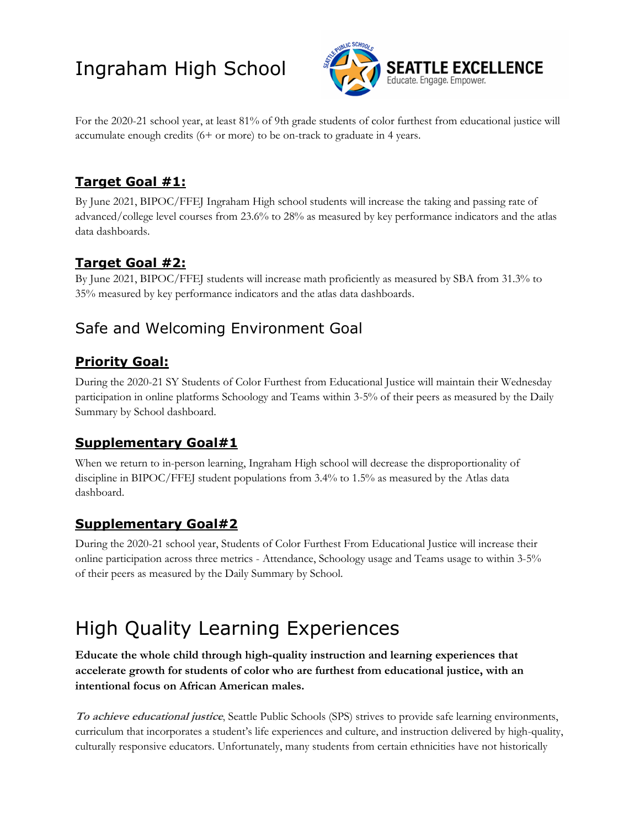

For the 2020-21 school year, at least 81% of 9th grade students of color furthest from educational justice will accumulate enough credits (6+ or more) to be on-track to graduate in 4 years.

#### **Target Goal #1:**

By June 2021, BIPOC/FFEJ Ingraham High school students will increase the taking and passing rate of advanced/college level courses from 23.6% to 28% as measured by key performance indicators and the atlas data dashboards.

#### **Target Goal #2:**

By June 2021, BIPOC/FFEJ students will increase math proficiently as measured by SBA from 31.3% to 35% measured by key performance indicators and the atlas data dashboards.

### Safe and Welcoming Environment Goal

#### **Priority Goal:**

During the 2020-21 SY Students of Color Furthest from Educational Justice will maintain their Wednesday participation in online platforms Schoology and Teams within 3-5% of their peers as measured by the Daily Summary by School dashboard.

#### **Supplementary Goal#1**

When we return to in-person learning, Ingraham High school will decrease the disproportionality of discipline in BIPOC/FFEJ student populations from 3.4% to 1.5% as measured by the Atlas data dashboard.

#### **Supplementary Goal#2**

During the 2020-21 school year, Students of Color Furthest From Educational Justice will increase their online participation across three metrics - Attendance, Schoology usage and Teams usage to within 3-5% of their peers as measured by the Daily Summary by School.

## High Quality Learning Experiences

**Educate the whole child through high-quality instruction and learning experiences that accelerate growth for students of color who are furthest from educational justice, with an intentional focus on African American males.** 

**To achieve educational justice**, Seattle Public Schools (SPS) strives to provide safe learning environments, curriculum that incorporates a student's life experiences and culture, and instruction delivered by high-quality, culturally responsive educators. Unfortunately, many students from certain ethnicities have not historically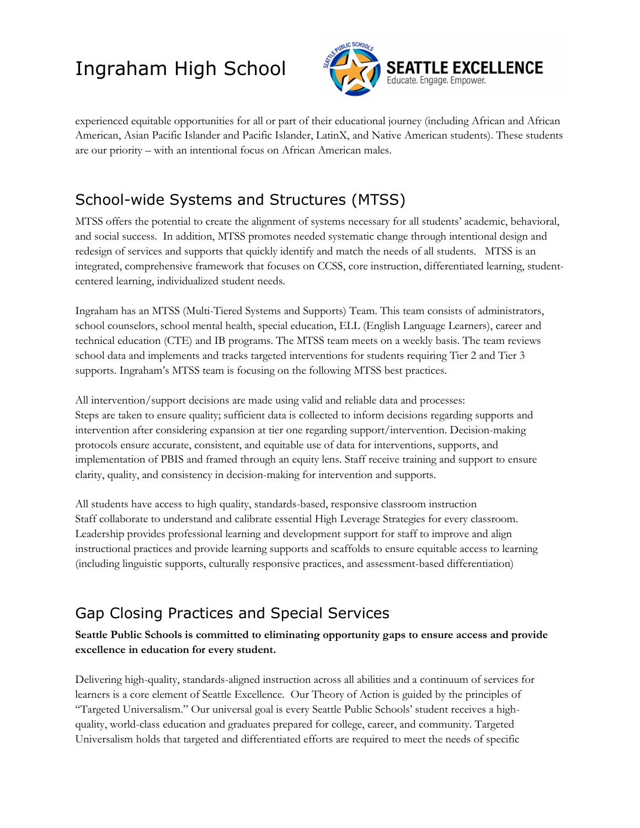

experienced equitable opportunities for all or part of their educational journey (including African and African American, Asian Pacific Islander and Pacific Islander, LatinX, and Native American students). These students are our priority – with an intentional focus on African American males.

### School-wide Systems and Structures (MTSS)

MTSS offers the potential to create the alignment of systems necessary for all students' academic, behavioral, and social success. In addition, MTSS promotes needed systematic change through intentional design and redesign of services and supports that quickly identify and match the needs of all students. MTSS is an integrated, comprehensive framework that focuses on CCSS, core instruction, differentiated learning, studentcentered learning, individualized student needs.

Ingraham has an MTSS (Multi-Tiered Systems and Supports) Team. This team consists of administrators, school counselors, school mental health, special education, ELL (English Language Learners), career and technical education (CTE) and IB programs. The MTSS team meets on a weekly basis. The team reviews school data and implements and tracks targeted interventions for students requiring Tier 2 and Tier 3 supports. Ingraham's MTSS team is focusing on the following MTSS best practices.

All intervention/support decisions are made using valid and reliable data and processes: Steps are taken to ensure quality; sufficient data is collected to inform decisions regarding supports and intervention after considering expansion at tier one regarding support/intervention. Decision-making protocols ensure accurate, consistent, and equitable use of data for interventions, supports, and implementation of PBIS and framed through an equity lens. Staff receive training and support to ensure clarity, quality, and consistency in decision-making for intervention and supports.

All students have access to high quality, standards-based, responsive classroom instruction Staff collaborate to understand and calibrate essential High Leverage Strategies for every classroom. Leadership provides professional learning and development support for staff to improve and align instructional practices and provide learning supports and scaffolds to ensure equitable access to learning (including linguistic supports, culturally responsive practices, and assessment-based differentiation)

### Gap Closing Practices and Special Services

#### **Seattle Public Schools is committed to eliminating opportunity gaps to ensure access and provide excellence in education for every student.**

Delivering high-quality, standards-aligned instruction across all abilities and a continuum of services for learners is a core element of Seattle Excellence. Our Theory of Action is guided by the principles of "Targeted Universalism." Our universal goal is every Seattle Public Schools' student receives a highquality, world-class education and graduates prepared for college, career, and community. Targeted Universalism holds that targeted and differentiated efforts are required to meet the needs of specific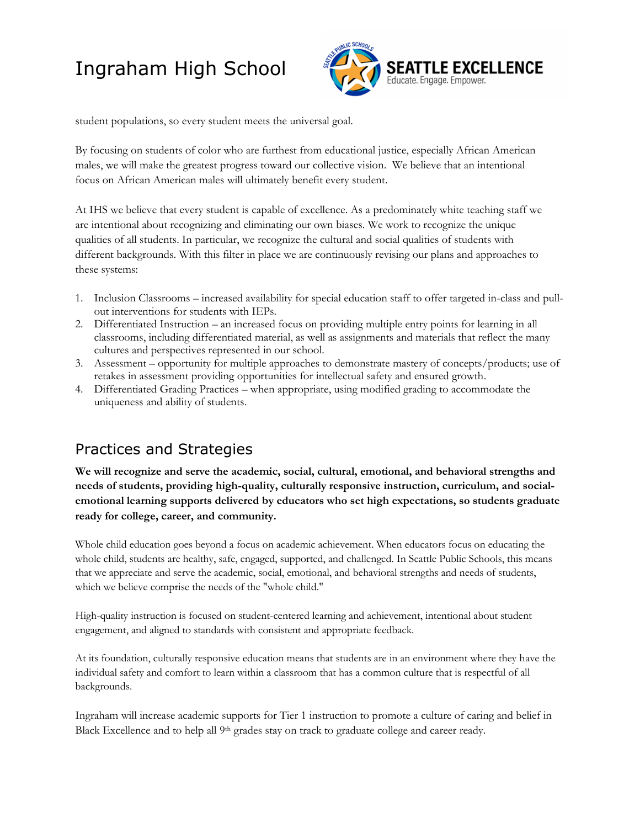

student populations, so every student meets the universal goal.

By focusing on students of color who are furthest from educational justice, especially African American males, we will make the greatest progress toward our collective vision. We believe that an intentional focus on African American males will ultimately benefit every student.

At IHS we believe that every student is capable of excellence. As a predominately white teaching staff we are intentional about recognizing and eliminating our own biases. We work to recognize the unique qualities of all students. In particular, we recognize the cultural and social qualities of students with different backgrounds. With this filter in place we are continuously revising our plans and approaches to these systems:

- 1. Inclusion Classrooms increased availability for special education staff to offer targeted in-class and pullout interventions for students with IEPs.
- 2. Differentiated Instruction an increased focus on providing multiple entry points for learning in all classrooms, including differentiated material, as well as assignments and materials that reflect the many cultures and perspectives represented in our school.
- 3. Assessment opportunity for multiple approaches to demonstrate mastery of concepts/products; use of retakes in assessment providing opportunities for intellectual safety and ensured growth.
- 4. Differentiated Grading Practices when appropriate, using modified grading to accommodate the uniqueness and ability of students.

#### Practices and Strategies

**We will recognize and serve the academic, social, cultural, emotional, and behavioral strengths and needs of students, providing high-quality, culturally responsive instruction, curriculum, and socialemotional learning supports delivered by educators who set high expectations, so students graduate ready for college, career, and community.**

Whole child education goes beyond a focus on academic achievement. When educators focus on educating the whole child, students are healthy, safe, engaged, supported, and challenged. In Seattle Public Schools, this means that we appreciate and serve the academic, social, emotional, and behavioral strengths and needs of students, which we believe comprise the needs of the "whole child."

High-quality instruction is focused on student-centered learning and achievement, intentional about student engagement, and aligned to standards with consistent and appropriate feedback.

At its foundation, culturally responsive education means that students are in an environment where they have the individual safety and comfort to learn within a classroom that has a common culture that is respectful of all backgrounds.

Ingraham will increase academic supports for Tier 1 instruction to promote a culture of caring and belief in Black Excellence and to help all 9<sup>th</sup> grades stay on track to graduate college and career ready.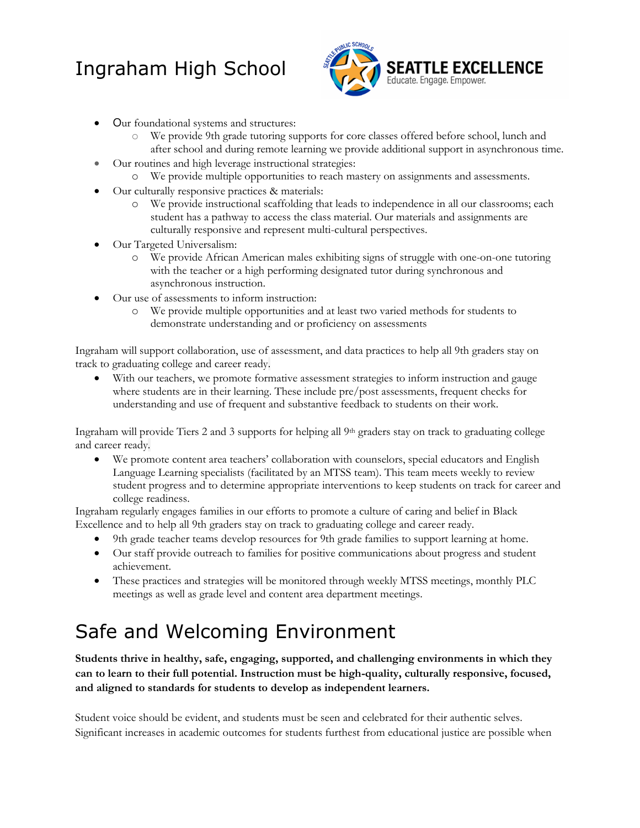

- Our foundational systems and structures:
	- o We provide 9th grade tutoring supports for core classes offered before school, lunch and after school and during remote learning we provide additional support in asynchronous time.
- Our routines and high leverage instructional strategies:
	- o We provide multiple opportunities to reach mastery on assignments and assessments.
- Our culturally responsive practices & materials:
	- o We provide instructional scaffolding that leads to independence in all our classrooms; each student has a pathway to access the class material. Our materials and assignments are culturally responsive and represent multi-cultural perspectives.
- Our Targeted Universalism:
	- o We provide African American males exhibiting signs of struggle with one-on-one tutoring with the teacher or a high performing designated tutor during synchronous and asynchronous instruction.
- Our use of assessments to inform instruction:
	- o We provide multiple opportunities and at least two varied methods for students to demonstrate understanding and or proficiency on assessments

Ingraham will support collaboration, use of assessment, and data practices to help all 9th graders stay on track to graduating college and career ready.

With our teachers, we promote formative assessment strategies to inform instruction and gauge where students are in their learning. These include pre/post assessments, frequent checks for understanding and use of frequent and substantive feedback to students on their work.

Ingraham will provide Tiers 2 and 3 supports for helping all  $9<sup>th</sup>$  graders stay on track to graduating college and career ready.

• We promote content area teachers' collaboration with counselors, special educators and English Language Learning specialists (facilitated by an MTSS team). This team meets weekly to review student progress and to determine appropriate interventions to keep students on track for career and college readiness.

Ingraham regularly engages families in our efforts to promote a culture of caring and belief in Black Excellence and to help all 9th graders stay on track to graduating college and career ready.

- 9th grade teacher teams develop resources for 9th grade families to support learning at home.
- Our staff provide outreach to families for positive communications about progress and student achievement.
- These practices and strategies will be monitored through weekly MTSS meetings, monthly PLC meetings as well as grade level and content area department meetings.

### Safe and Welcoming Environment

**Students thrive in healthy, safe, engaging, supported, and challenging environments in which they can to learn to their full potential. Instruction must be high-quality, culturally responsive, focused, and aligned to standards for students to develop as independent learners.**

Student voice should be evident, and students must be seen and celebrated for their authentic selves. Significant increases in academic outcomes for students furthest from educational justice are possible when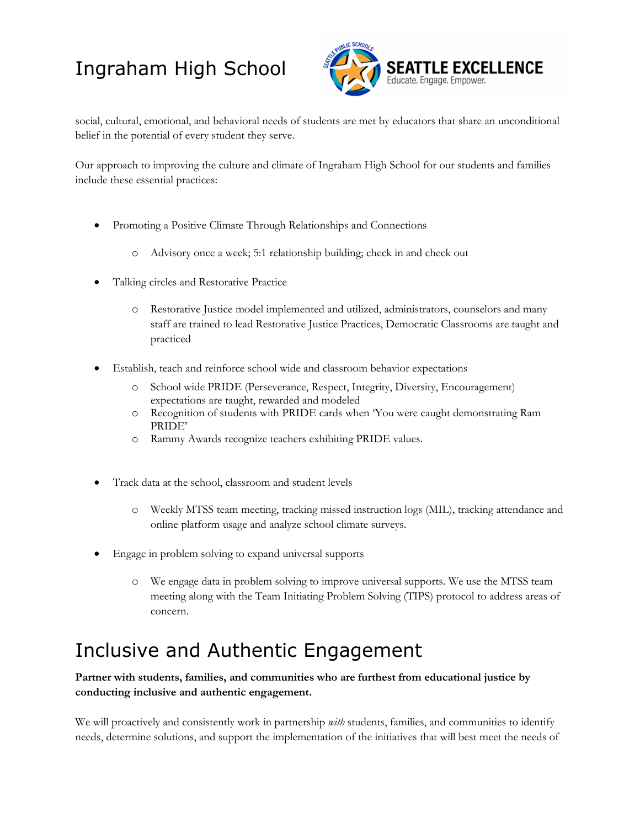

social, cultural, emotional, and behavioral needs of students are met by educators that share an unconditional belief in the potential of every student they serve.

Our approach to improving the culture and climate of Ingraham High School for our students and families include these essential practices:

- Promoting a Positive Climate Through Relationships and Connections
	- o Advisory once a week; 5:1 relationship building; check in and check out
- Talking circles and Restorative Practice
	- o Restorative Justice model implemented and utilized, administrators, counselors and many staff are trained to lead Restorative Justice Practices, Democratic Classrooms are taught and practiced
- Establish, teach and reinforce school wide and classroom behavior expectations
	- o School wide PRIDE (Perseverance, Respect, Integrity, Diversity, Encouragement) expectations are taught, rewarded and modeled
	- o Recognition of students with PRIDE cards when 'You were caught demonstrating Ram PRIDE'
	- o Rammy Awards recognize teachers exhibiting PRIDE values.
- Track data at the school, classroom and student levels
	- o Weekly MTSS team meeting, tracking missed instruction logs (MIL), tracking attendance and online platform usage and analyze school climate surveys.
- Engage in problem solving to expand universal supports
	- o We engage data in problem solving to improve universal supports. We use the MTSS team meeting along with the Team Initiating Problem Solving (TIPS) protocol to address areas of concern.

## Inclusive and Authentic Engagement

**Partner with students, families, and communities who are furthest from educational justice by conducting inclusive and authentic engagement.** 

We will proactively and consistently work in partnership *with* students, families, and communities to identify needs, determine solutions, and support the implementation of the initiatives that will best meet the needs of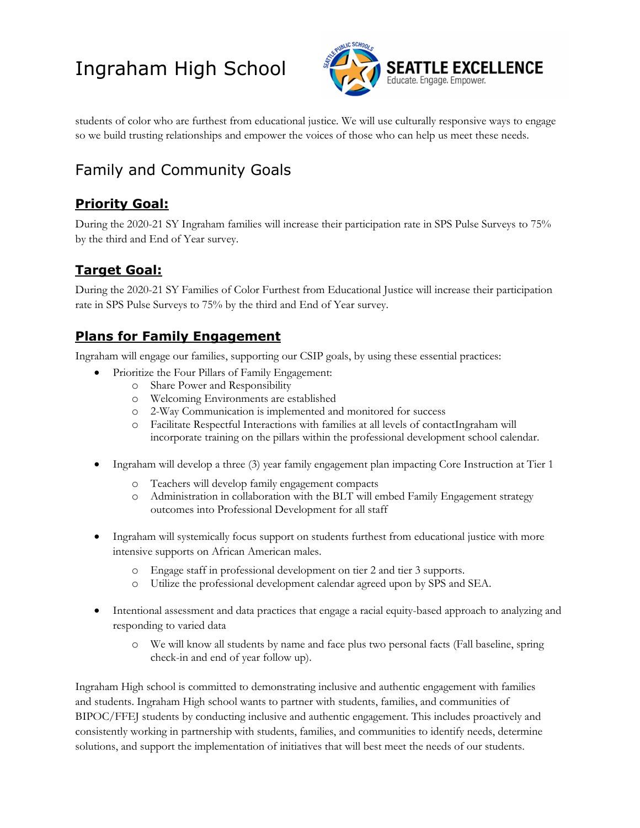

students of color who are furthest from educational justice. We will use culturally responsive ways to engage so we build trusting relationships and empower the voices of those who can help us meet these needs.

### Family and Community Goals

#### **Priority Goal:**

During the 2020-21 SY Ingraham families will increase their participation rate in SPS Pulse Surveys to 75% by the third and End of Year survey.

#### **Target Goal:**

During the 2020-21 SY Families of Color Furthest from Educational Justice will increase their participation rate in SPS Pulse Surveys to 75% by the third and End of Year survey.

#### **Plans for Family Engagement**

Ingraham will engage our families, supporting our CSIP goals, by using these essential practices:

- Prioritize the Four Pillars of Family Engagement:
	- o Share Power and Responsibility
	- o Welcoming Environments are established
	- o 2-Way Communication is implemented and monitored for success
	- o Facilitate Respectful Interactions with families at all levels of contactIngraham will incorporate training on the pillars within the professional development school calendar.
- Ingraham will develop a three (3) year family engagement plan impacting Core Instruction at Tier 1
	- o Teachers will develop family engagement compacts
	- o Administration in collaboration with the BLT will embed Family Engagement strategy outcomes into Professional Development for all staff
- Ingraham will systemically focus support on students furthest from educational justice with more intensive supports on African American males.
	- o Engage staff in professional development on tier 2 and tier 3 supports.
	- o Utilize the professional development calendar agreed upon by SPS and SEA.
- Intentional assessment and data practices that engage a racial equity-based approach to analyzing and responding to varied data
	- o We will know all students by name and face plus two personal facts (Fall baseline, spring check-in and end of year follow up).

Ingraham High school is committed to demonstrating inclusive and authentic engagement with families and students. Ingraham High school wants to partner with students, families, and communities of BIPOC/FFEJ students by conducting inclusive and authentic engagement. This includes proactively and consistently working in partnership with students, families, and communities to identify needs, determine solutions, and support the implementation of initiatives that will best meet the needs of our students.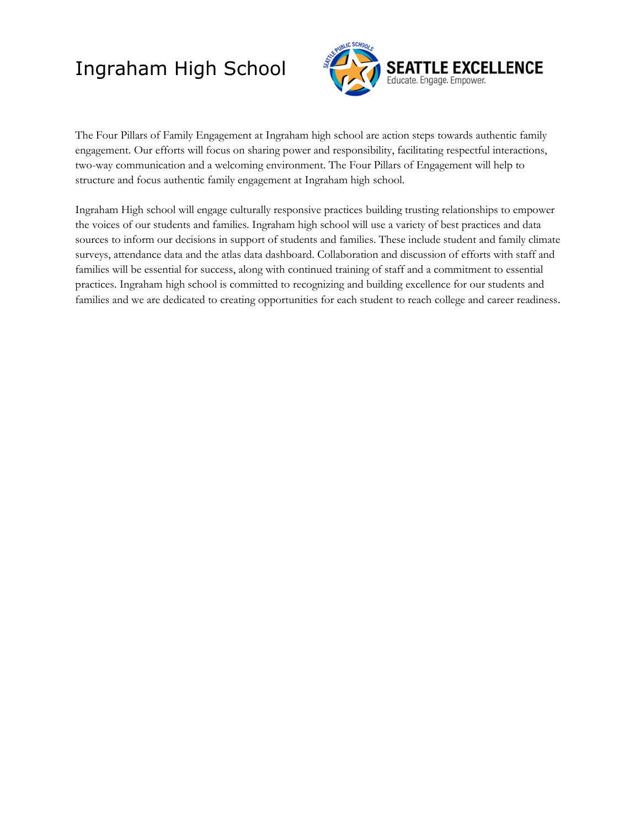

The Four Pillars of Family Engagement at Ingraham high school are action steps towards authentic family engagement. Our efforts will focus on sharing power and responsibility, facilitating respectful interactions, two-way communication and a welcoming environment. The Four Pillars of Engagement will help to structure and focus authentic family engagement at Ingraham high school.

Ingraham High school will engage culturally responsive practices building trusting relationships to empower the voices of our students and families. Ingraham high school will use a variety of best practices and data sources to inform our decisions in support of students and families. These include student and family climate surveys, attendance data and the atlas data dashboard. Collaboration and discussion of efforts with staff and families will be essential for success, along with continued training of staff and a commitment to essential practices. Ingraham high school is committed to recognizing and building excellence for our students and families and we are dedicated to creating opportunities for each student to reach college and career readiness.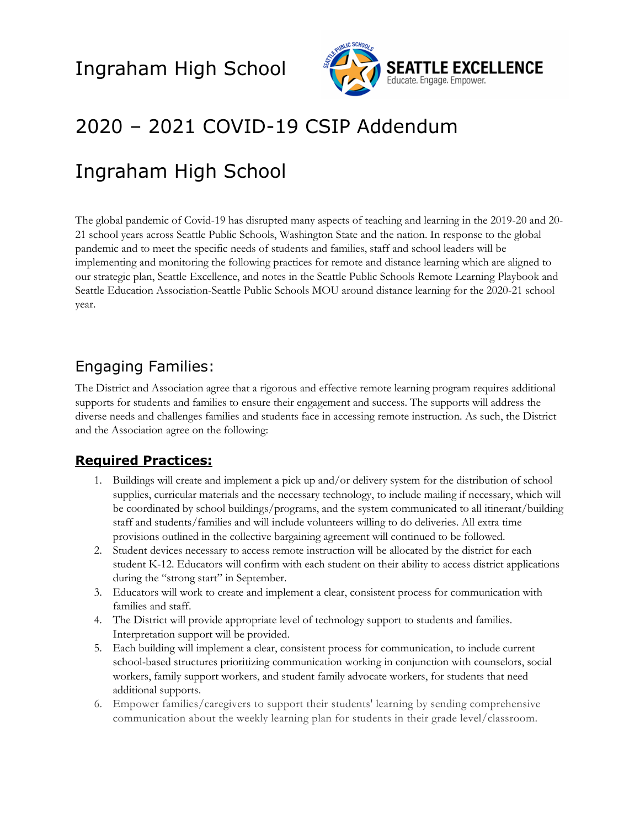

## 2020 – 2021 COVID-19 CSIP Addendum

### Ingraham High School

The global pandemic of Covid-19 has disrupted many aspects of teaching and learning in the 2019-20 and 20- 21 school years across Seattle Public Schools, Washington State and the nation. In response to the global pandemic and to meet the specific needs of students and families, staff and school leaders will be implementing and monitoring the following practices for remote and distance learning which are aligned to our strategic plan, Seattle Excellence, and notes in the Seattle Public Schools Remote Learning Playbook and Seattle Education Association-Seattle Public Schools MOU around distance learning for the 2020-21 school year.

#### Engaging Families:

The District and Association agree that a rigorous and effective remote learning program requires additional supports for students and families to ensure their engagement and success. The supports will address the diverse needs and challenges families and students face in accessing remote instruction. As such, the District and the Association agree on the following:

#### **Required Practices:**

- 1. Buildings will create and implement a pick up and/or delivery system for the distribution of school supplies, curricular materials and the necessary technology, to include mailing if necessary, which will be coordinated by school buildings/programs, and the system communicated to all itinerant/building staff and students/families and will include volunteers willing to do deliveries. All extra time provisions outlined in the collective bargaining agreement will continued to be followed.
- 2. Student devices necessary to access remote instruction will be allocated by the district for each student K-12. Educators will confirm with each student on their ability to access district applications during the "strong start" in September.
- 3. Educators will work to create and implement a clear, consistent process for communication with families and staff.
- 4. The District will provide appropriate level of technology support to students and families. Interpretation support will be provided.
- 5. Each building will implement a clear, consistent process for communication, to include current school-based structures prioritizing communication working in conjunction with counselors, social workers, family support workers, and student family advocate workers, for students that need additional supports.
- 6. Empower families/caregivers to support their students' learning by sending comprehensive communication about the weekly learning plan for students in their grade level/classroom.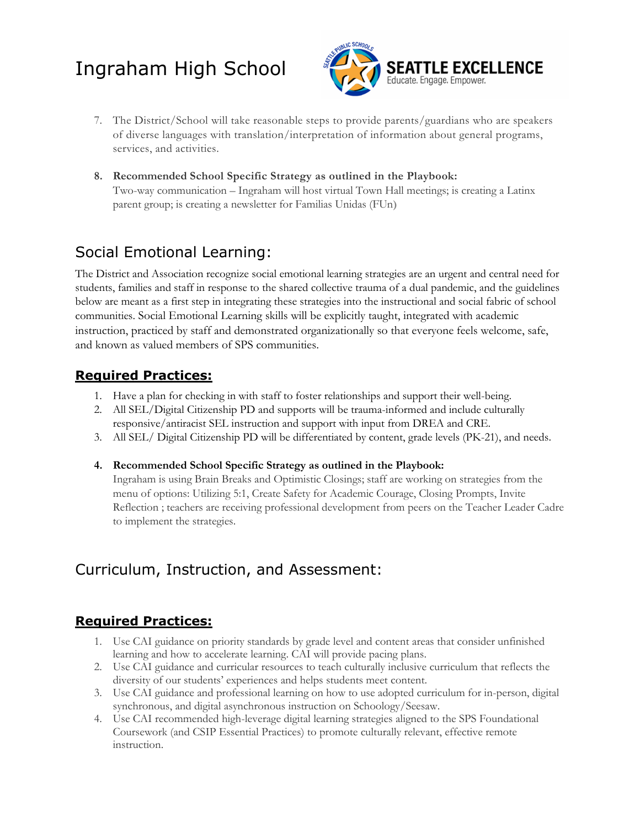

- 7. The District/School will take reasonable steps to provide parents/guardians who are speakers of diverse languages with translation/interpretation of information about general programs, services, and activities.
- **8. Recommended School Specific Strategy as outlined in the Playbook:** Two-way communication – Ingraham will host virtual Town Hall meetings; is creating a Latinx parent group; is creating a newsletter for Familias Unidas (FUn**)**

#### Social Emotional Learning:

The District and Association recognize social emotional learning strategies are an urgent and central need for students, families and staff in response to the shared collective trauma of a dual pandemic, and the guidelines below are meant as a first step in integrating these strategies into the instructional and social fabric of school communities. Social Emotional Learning skills will be explicitly taught, integrated with academic instruction, practiced by staff and demonstrated organizationally so that everyone feels welcome, safe, and known as valued members of SPS communities.

#### **Required Practices:**

- 1. Have a plan for checking in with staff to foster relationships and support their well-being.
- 2. All SEL/Digital Citizenship PD and supports will be trauma-informed and include culturally responsive/antiracist SEL instruction and support with input from DREA and CRE.
- 3. All SEL/ Digital Citizenship PD will be differentiated by content, grade levels (PK-21), and needs.

#### **4. Recommended School Specific Strategy as outlined in the Playbook:**

Ingraham is using Brain Breaks and Optimistic Closings; staff are working on strategies from the menu of options: Utilizing 5:1, Create Safety for Academic Courage, Closing Prompts, Invite Reflection ; teachers are receiving professional development from peers on the Teacher Leader Cadre to implement the strategies.

### Curriculum, Instruction, and Assessment:

#### **Required Practices:**

- 1. Use CAI guidance on priority standards by grade level and content areas that consider unfinished learning and how to accelerate learning. CAI will provide pacing plans.
- 2. Use CAI guidance and curricular resources to teach culturally inclusive curriculum that reflects the diversity of our students' experiences and helps students meet content.
- 3. Use CAI guidance and professional learning on how to use adopted curriculum for in-person, digital synchronous, and digital asynchronous instruction on Schoology/Seesaw.
- 4. Use CAI recommended high-leverage digital learning strategies aligned to the SPS Foundational Coursework (and CSIP Essential Practices) to promote culturally relevant, effective remote instruction.